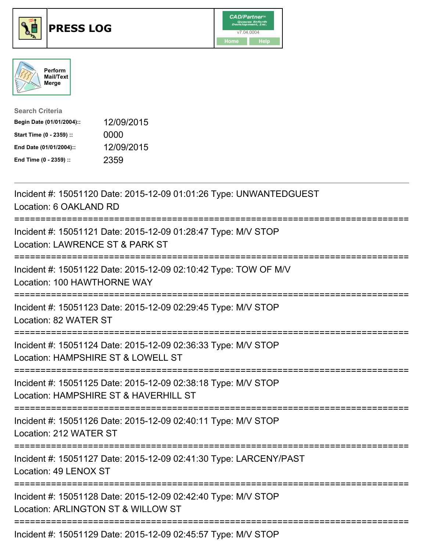





| <b>Search Criteria</b>    |            |
|---------------------------|------------|
| Begin Date (01/01/2004):: | 12/09/2015 |
| Start Time (0 - 2359) ::  | 0000       |
| End Date (01/01/2004)::   | 12/09/2015 |
| End Time (0 - 2359) ::    | 2359       |

| Incident #: 15051120 Date: 2015-12-09 01:01:26 Type: UNWANTEDGUEST<br>Location: 6 OAKLAND RD<br>===============                        |
|----------------------------------------------------------------------------------------------------------------------------------------|
| Incident #: 15051121 Date: 2015-12-09 01:28:47 Type: M/V STOP<br>Location: LAWRENCE ST & PARK ST<br>==========                         |
| Incident #: 15051122 Date: 2015-12-09 02:10:42 Type: TOW OF M/V<br>Location: 100 HAWTHORNE WAY<br>===========                          |
| Incident #: 15051123 Date: 2015-12-09 02:29:45 Type: M/V STOP<br>Location: 82 WATER ST<br>:==================================          |
| Incident #: 15051124 Date: 2015-12-09 02:36:33 Type: M/V STOP<br>Location: HAMPSHIRE ST & LOWELL ST<br>:===========================    |
| Incident #: 15051125 Date: 2015-12-09 02:38:18 Type: M/V STOP<br>Location: HAMPSHIRE ST & HAVERHILL ST<br>:=========================== |
| Incident #: 15051126 Date: 2015-12-09 02:40:11 Type: M/V STOP<br>Location: 212 WATER ST                                                |
| Incident #: 15051127 Date: 2015-12-09 02:41:30 Type: LARCENY/PAST<br>Location: 49 LENOX ST                                             |
| Incident #: 15051128 Date: 2015-12-09 02:42:40 Type: M/V STOP<br>Location: ARLINGTON ST & WILLOW ST                                    |
| =====================================<br>Incident #: 15051129 Date: 2015-12-09 02:45:57 Type: M/V STOP                                 |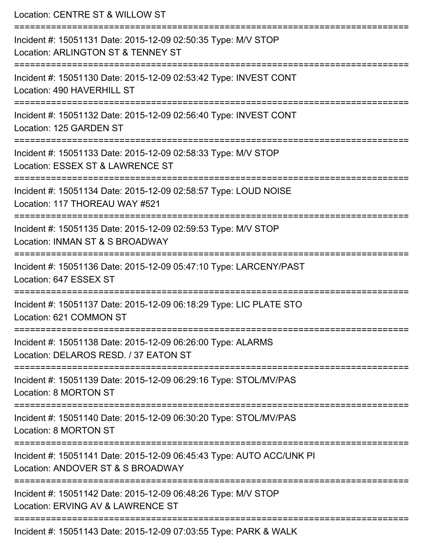| Location: CENTRE ST & WILLOW ST                                                                                                  |
|----------------------------------------------------------------------------------------------------------------------------------|
| Incident #: 15051131 Date: 2015-12-09 02:50:35 Type: M/V STOP<br>Location: ARLINGTON ST & TENNEY ST<br>:======================== |
| Incident #: 15051130 Date: 2015-12-09 02:53:42 Type: INVEST CONT<br>Location: 490 HAVERHILL ST                                   |
| Incident #: 15051132 Date: 2015-12-09 02:56:40 Type: INVEST CONT<br>Location: 125 GARDEN ST                                      |
| Incident #: 15051133 Date: 2015-12-09 02:58:33 Type: M/V STOP<br>Location: ESSEX ST & LAWRENCE ST                                |
| Incident #: 15051134 Date: 2015-12-09 02:58:57 Type: LOUD NOISE<br>Location: 117 THOREAU WAY #521                                |
| Incident #: 15051135 Date: 2015-12-09 02:59:53 Type: M/V STOP<br>Location: INMAN ST & S BROADWAY                                 |
| Incident #: 15051136 Date: 2015-12-09 05:47:10 Type: LARCENY/PAST<br>Location: 647 ESSEX ST                                      |
| Incident #: 15051137 Date: 2015-12-09 06:18:29 Type: LIC PLATE STO<br>Location: 621 COMMON ST                                    |
| Incident #: 15051138 Date: 2015-12-09 06:26:00 Type: ALARMS<br>Location: DELAROS RESD. / 37 EATON ST                             |
| Incident #: 15051139 Date: 2015-12-09 06:29:16 Type: STOL/MV/PAS<br>Location: 8 MORTON ST                                        |
| Incident #: 15051140 Date: 2015-12-09 06:30:20 Type: STOL/MV/PAS<br>Location: 8 MORTON ST                                        |
| Incident #: 15051141 Date: 2015-12-09 06:45:43 Type: AUTO ACC/UNK PI<br>Location: ANDOVER ST & S BROADWAY                        |
| Incident #: 15051142 Date: 2015-12-09 06:48:26 Type: M/V STOP<br>Location: ERVING AV & LAWRENCE ST                               |
| Incident #: 15051143 Date: 2015-12-09 07:03:55 Type: PARK & WALK                                                                 |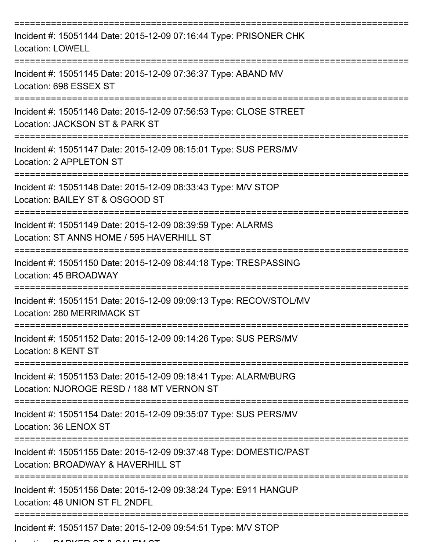| Incident #: 15051144 Date: 2015-12-09 07:16:44 Type: PRISONER CHK<br><b>Location: LOWELL</b>                                     |
|----------------------------------------------------------------------------------------------------------------------------------|
| Incident #: 15051145 Date: 2015-12-09 07:36:37 Type: ABAND MV<br>Location: 698 ESSEX ST                                          |
| Incident #: 15051146 Date: 2015-12-09 07:56:53 Type: CLOSE STREET<br>Location: JACKSON ST & PARK ST                              |
| Incident #: 15051147 Date: 2015-12-09 08:15:01 Type: SUS PERS/MV<br>Location: 2 APPLETON ST                                      |
| Incident #: 15051148 Date: 2015-12-09 08:33:43 Type: M/V STOP<br>Location: BAILEY ST & OSGOOD ST                                 |
| Incident #: 15051149 Date: 2015-12-09 08:39:59 Type: ALARMS<br>Location: ST ANNS HOME / 595 HAVERHILL ST<br>,,,,,,,,,,,,,,,,,,,, |
| Incident #: 15051150 Date: 2015-12-09 08:44:18 Type: TRESPASSING<br>Location: 45 BROADWAY                                        |
| Incident #: 15051151 Date: 2015-12-09 09:09:13 Type: RECOV/STOL/MV<br>Location: 280 MERRIMACK ST                                 |
| Incident #: 15051152 Date: 2015-12-09 09:14:26 Type: SUS PERS/MV<br>Location: 8 KENT ST                                          |
| Incident #: 15051153 Date: 2015-12-09 09:18:41 Type: ALARM/BURG<br>Location: NJOROGE RESD / 188 MT VERNON ST                     |
| Incident #: 15051154 Date: 2015-12-09 09:35:07 Type: SUS PERS/MV<br>Location: 36 LENOX ST                                        |
| Incident #: 15051155 Date: 2015-12-09 09:37:48 Type: DOMESTIC/PAST<br>Location: BROADWAY & HAVERHILL ST                          |
| Incident #: 15051156 Date: 2015-12-09 09:38:24 Type: E911 HANGUP<br>Location: 48 UNION ST FL 2NDFL                               |
| Incident #: 15051157 Date: 2015-12-09 09:54:51 Type: M/V STOP                                                                    |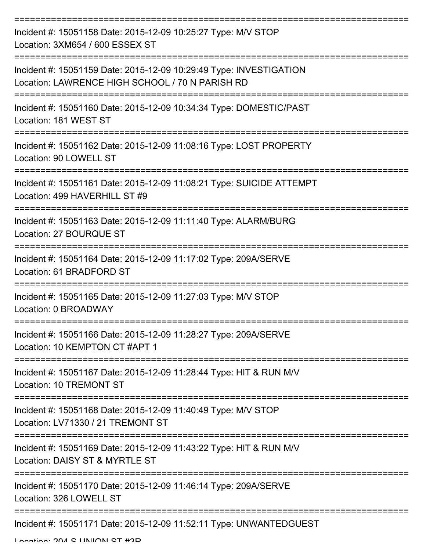| Incident #: 15051158 Date: 2015-12-09 10:25:27 Type: M/V STOP<br>Location: 3XM654 / 600 ESSEX ST                      |
|-----------------------------------------------------------------------------------------------------------------------|
| Incident #: 15051159 Date: 2015-12-09 10:29:49 Type: INVESTIGATION<br>Location: LAWRENCE HIGH SCHOOL / 70 N PARISH RD |
| Incident #: 15051160 Date: 2015-12-09 10:34:34 Type: DOMESTIC/PAST<br>Location: 181 WEST ST                           |
| Incident #: 15051162 Date: 2015-12-09 11:08:16 Type: LOST PROPERTY<br>Location: 90 LOWELL ST                          |
| Incident #: 15051161 Date: 2015-12-09 11:08:21 Type: SUICIDE ATTEMPT<br>Location: 499 HAVERHILL ST #9                 |
| Incident #: 15051163 Date: 2015-12-09 11:11:40 Type: ALARM/BURG<br>Location: 27 BOURQUE ST                            |
| Incident #: 15051164 Date: 2015-12-09 11:17:02 Type: 209A/SERVE<br>Location: 61 BRADFORD ST                           |
| Incident #: 15051165 Date: 2015-12-09 11:27:03 Type: M/V STOP<br>Location: 0 BROADWAY                                 |
| Incident #: 15051166 Date: 2015-12-09 11:28:27 Type: 209A/SERVE<br>Location: 10 KEMPTON CT #APT 1                     |
| Incident #: 15051167 Date: 2015-12-09 11:28:44 Type: HIT & RUN M/V<br><b>Location: 10 TREMONT ST</b>                  |
| Incident #: 15051168 Date: 2015-12-09 11:40:49 Type: M/V STOP<br>Location: LV71330 / 21 TREMONT ST                    |
| Incident #: 15051169 Date: 2015-12-09 11:43:22 Type: HIT & RUN M/V<br>Location: DAISY ST & MYRTLE ST                  |
| Incident #: 15051170 Date: 2015-12-09 11:46:14 Type: 209A/SERVE<br>Location: 326 LOWELL ST                            |
| Incident #: 15051171 Date: 2015-12-09 11:52:11 Type: UNWANTEDGUEST                                                    |

Location: 204 S LINIION ST #2D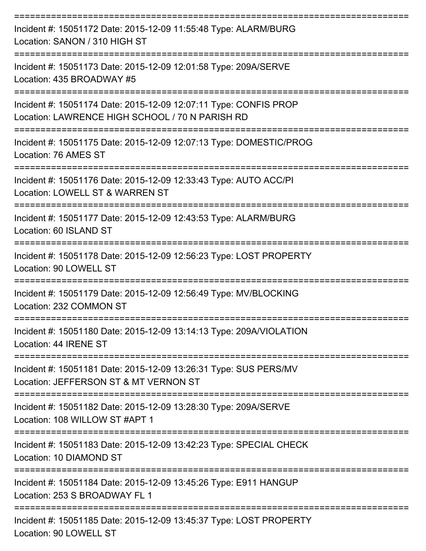| Incident #: 15051172 Date: 2015-12-09 11:55:48 Type: ALARM/BURG<br>Location: SANON / 310 HIGH ST                                                |
|-------------------------------------------------------------------------------------------------------------------------------------------------|
| Incident #: 15051173 Date: 2015-12-09 12:01:58 Type: 209A/SERVE<br>Location: 435 BROADWAY #5                                                    |
| Incident #: 15051174 Date: 2015-12-09 12:07:11 Type: CONFIS PROP<br>Location: LAWRENCE HIGH SCHOOL / 70 N PARISH RD<br>:======================= |
| Incident #: 15051175 Date: 2015-12-09 12:07:13 Type: DOMESTIC/PROG<br>Location: 76 AMES ST                                                      |
| Incident #: 15051176 Date: 2015-12-09 12:33:43 Type: AUTO ACC/PI<br>Location: LOWELL ST & WARREN ST                                             |
| Incident #: 15051177 Date: 2015-12-09 12:43:53 Type: ALARM/BURG<br>Location: 60 ISLAND ST                                                       |
| Incident #: 15051178 Date: 2015-12-09 12:56:23 Type: LOST PROPERTY<br>Location: 90 LOWELL ST                                                    |
| Incident #: 15051179 Date: 2015-12-09 12:56:49 Type: MV/BLOCKING<br>Location: 232 COMMON ST                                                     |
| Incident #: 15051180 Date: 2015-12-09 13:14:13 Type: 209A/VIOLATION<br>Location: 44 IRENE ST                                                    |
| Incident #: 15051181 Date: 2015-12-09 13:26:31 Type: SUS PERS/MV<br>Location: JEFFERSON ST & MT VERNON ST                                       |
| Incident #: 15051182 Date: 2015-12-09 13:28:30 Type: 209A/SERVE<br>Location: 108 WILLOW ST #APT 1                                               |
| Incident #: 15051183 Date: 2015-12-09 13:42:23 Type: SPECIAL CHECK<br>Location: 10 DIAMOND ST                                                   |
| Incident #: 15051184 Date: 2015-12-09 13:45:26 Type: E911 HANGUP<br>Location: 253 S BROADWAY FL 1                                               |
| Incident #: 15051185 Date: 2015-12-09 13:45:37 Type: LOST PROPERTY<br>L                                                                         |

Location: 90 LOWELL ST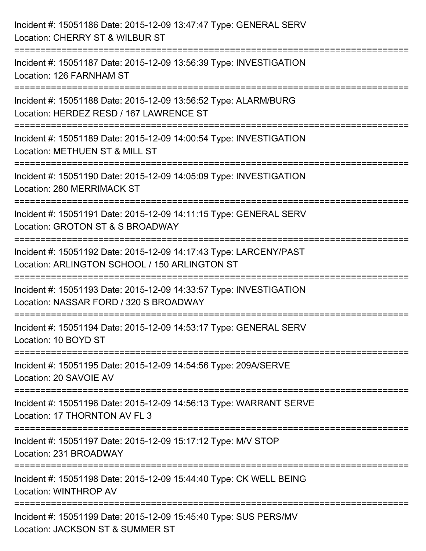| Incident #: 15051186 Date: 2015-12-09 13:47:47 Type: GENERAL SERV<br>Location: CHERRY ST & WILBUR ST                                             |
|--------------------------------------------------------------------------------------------------------------------------------------------------|
| :========================<br>Incident #: 15051187 Date: 2015-12-09 13:56:39 Type: INVESTIGATION<br>Location: 126 FARNHAM ST                      |
| Incident #: 15051188 Date: 2015-12-09 13:56:52 Type: ALARM/BURG<br>Location: HERDEZ RESD / 167 LAWRENCE ST<br>:================================= |
| Incident #: 15051189 Date: 2015-12-09 14:00:54 Type: INVESTIGATION<br>Location: METHUEN ST & MILL ST                                             |
| Incident #: 15051190 Date: 2015-12-09 14:05:09 Type: INVESTIGATION<br>Location: 280 MERRIMACK ST<br>==============================               |
| Incident #: 15051191 Date: 2015-12-09 14:11:15 Type: GENERAL SERV<br>Location: GROTON ST & S BROADWAY                                            |
| Incident #: 15051192 Date: 2015-12-09 14:17:43 Type: LARCENY/PAST<br>Location: ARLINGTON SCHOOL / 150 ARLINGTON ST                               |
| Incident #: 15051193 Date: 2015-12-09 14:33:57 Type: INVESTIGATION<br>Location: NASSAR FORD / 320 S BROADWAY                                     |
| Incident #: 15051194 Date: 2015-12-09 14:53:17 Type: GENERAL SERV<br>Location: 10 BOYD ST                                                        |
| Incident #: 15051195 Date: 2015-12-09 14:54:56 Type: 209A/SERVE<br>Location: 20 SAVOIE AV                                                        |
| Incident #: 15051196 Date: 2015-12-09 14:56:13 Type: WARRANT SERVE<br>Location: 17 THORNTON AV FL 3                                              |
| Incident #: 15051197 Date: 2015-12-09 15:17:12 Type: M/V STOP<br>Location: 231 BROADWAY                                                          |
| Incident #: 15051198 Date: 2015-12-09 15:44:40 Type: CK WELL BEING<br>Location: WINTHROP AV                                                      |
| Incident #: 15051199 Date: 2015-12-09 15:45:40 Type: SUS PERS/MV<br>Location: JACKSON ST & SUMMER ST                                             |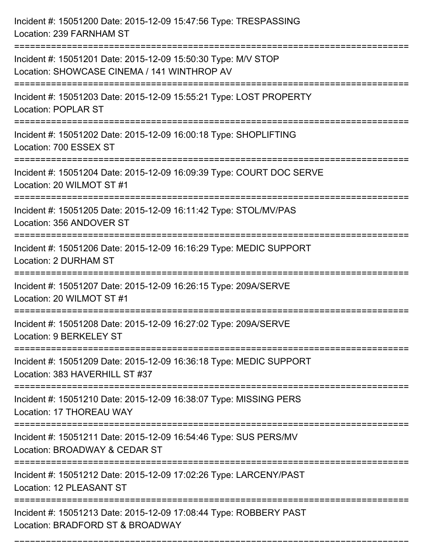| Incident #: 15051200 Date: 2015-12-09 15:47:56 Type: TRESPASSING<br>Location: 239 FARNHAM ST                                                                             |
|--------------------------------------------------------------------------------------------------------------------------------------------------------------------------|
| Incident #: 15051201 Date: 2015-12-09 15:50:30 Type: M/V STOP<br>Location: SHOWCASE CINEMA / 141 WINTHROP AV                                                             |
| Incident #: 15051203 Date: 2015-12-09 15:55:21 Type: LOST PROPERTY<br><b>Location: POPLAR ST</b>                                                                         |
| Incident #: 15051202 Date: 2015-12-09 16:00:18 Type: SHOPLIFTING<br>Location: 700 ESSEX ST                                                                               |
| Incident #: 15051204 Date: 2015-12-09 16:09:39 Type: COURT DOC SERVE<br>Location: 20 WILMOT ST #1<br>====================================<br>--------------------------- |
| Incident #: 15051205 Date: 2015-12-09 16:11:42 Type: STOL/MV/PAS<br>Location: 356 ANDOVER ST                                                                             |
| Incident #: 15051206 Date: 2015-12-09 16:16:29 Type: MEDIC SUPPORT<br>Location: 2 DURHAM ST                                                                              |
| Incident #: 15051207 Date: 2015-12-09 16:26:15 Type: 209A/SERVE<br>Location: 20 WILMOT ST #1                                                                             |
| Incident #: 15051208 Date: 2015-12-09 16:27:02 Type: 209A/SERVE<br>Location: 9 BERKELEY ST                                                                               |
| Incident #: 15051209 Date: 2015-12-09 16:36:18 Type: MEDIC SUPPORT<br>Location: 383 HAVERHILL ST #37                                                                     |
| Incident #: 15051210 Date: 2015-12-09 16:38:07 Type: MISSING PERS<br>Location: 17 THOREAU WAY                                                                            |
| Incident #: 15051211 Date: 2015-12-09 16:54:46 Type: SUS PERS/MV<br>Location: BROADWAY & CEDAR ST                                                                        |
| Incident #: 15051212 Date: 2015-12-09 17:02:26 Type: LARCENY/PAST<br>Location: 12 PLEASANT ST                                                                            |
| Incident #: 15051213 Date: 2015-12-09 17:08:44 Type: ROBBERY PAST<br>Location: BRADFORD ST & BROADWAY                                                                    |

===========================================================================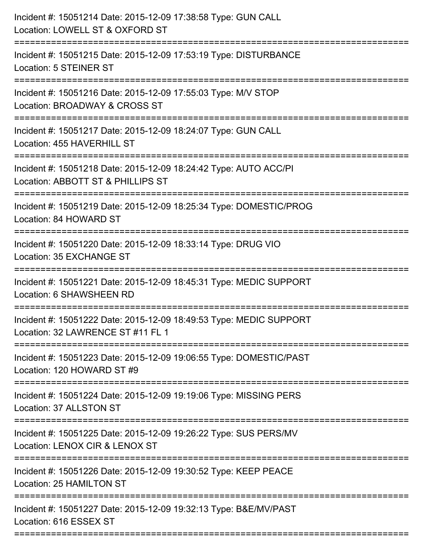| Incident #: 15051214 Date: 2015-12-09 17:38:58 Type: GUN CALL<br>Location: LOWELL ST & OXFORD ST                                            |
|---------------------------------------------------------------------------------------------------------------------------------------------|
| :======================<br>Incident #: 15051215 Date: 2015-12-09 17:53:19 Type: DISTURBANCE<br>Location: 5 STEINER ST                       |
| Incident #: 15051216 Date: 2015-12-09 17:55:03 Type: M/V STOP<br>Location: BROADWAY & CROSS ST<br>========================                  |
| Incident #: 15051217 Date: 2015-12-09 18:24:07 Type: GUN CALL<br>Location: 455 HAVERHILL ST                                                 |
| Incident #: 15051218 Date: 2015-12-09 18:24:42 Type: AUTO ACC/PI<br>Location: ABBOTT ST & PHILLIPS ST<br>================================== |
| Incident #: 15051219 Date: 2015-12-09 18:25:34 Type: DOMESTIC/PROG<br>Location: 84 HOWARD ST                                                |
| Incident #: 15051220 Date: 2015-12-09 18:33:14 Type: DRUG VIO<br>Location: 35 EXCHANGE ST<br>==================================             |
| Incident #: 15051221 Date: 2015-12-09 18:45:31 Type: MEDIC SUPPORT<br>Location: 6 SHAWSHEEN RD                                              |
| Incident #: 15051222 Date: 2015-12-09 18:49:53 Type: MEDIC SUPPORT<br>Location: 32 LAWRENCE ST #11 FL 1                                     |
| Incident #: 15051223 Date: 2015-12-09 19:06:55 Type: DOMESTIC/PAST<br>Location: 120 HOWARD ST #9                                            |
| Incident #: 15051224 Date: 2015-12-09 19:19:06 Type: MISSING PERS<br>Location: 37 ALLSTON ST                                                |
| Incident #: 15051225 Date: 2015-12-09 19:26:22 Type: SUS PERS/MV<br>Location: LENOX CIR & LENOX ST                                          |
| Incident #: 15051226 Date: 2015-12-09 19:30:52 Type: KEEP PEACE<br>Location: 25 HAMILTON ST                                                 |
| Incident #: 15051227 Date: 2015-12-09 19:32:13 Type: B&E/MV/PAST<br>Location: 616 ESSEX ST                                                  |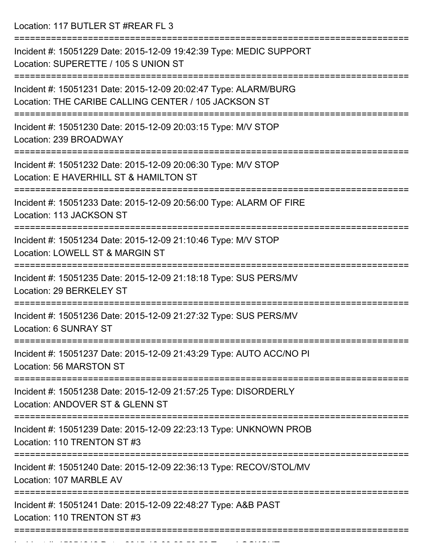Location: 117 BUTLER ST #REAR FL 3

| Incident #: 15051229 Date: 2015-12-09 19:42:39 Type: MEDIC SUPPORT<br>Location: SUPERETTE / 105 S UNION ST              |
|-------------------------------------------------------------------------------------------------------------------------|
| Incident #: 15051231 Date: 2015-12-09 20:02:47 Type: ALARM/BURG<br>Location: THE CARIBE CALLING CENTER / 105 JACKSON ST |
| Incident #: 15051230 Date: 2015-12-09 20:03:15 Type: M/V STOP<br>Location: 239 BROADWAY                                 |
| Incident #: 15051232 Date: 2015-12-09 20:06:30 Type: M/V STOP<br>Location: E HAVERHILL ST & HAMILTON ST                 |
| Incident #: 15051233 Date: 2015-12-09 20:56:00 Type: ALARM OF FIRE<br>Location: 113 JACKSON ST                          |
| Incident #: 15051234 Date: 2015-12-09 21:10:46 Type: M/V STOP<br>Location: LOWELL ST & MARGIN ST                        |
| Incident #: 15051235 Date: 2015-12-09 21:18:18 Type: SUS PERS/MV<br>Location: 29 BERKELEY ST<br>==========              |
| Incident #: 15051236 Date: 2015-12-09 21:27:32 Type: SUS PERS/MV<br><b>Location: 6 SUNRAY ST</b>                        |
| Incident #: 15051237 Date: 2015-12-09 21:43:29 Type: AUTO ACC/NO PI<br>Location: 56 MARSTON ST                          |
| Incident #: 15051238 Date: 2015-12-09 21:57:25 Type: DISORDERLY<br>Location: ANDOVER ST & GLENN ST                      |
| Incident #: 15051239 Date: 2015-12-09 22:23:13 Type: UNKNOWN PROB<br>Location: 110 TRENTON ST #3                        |
| Incident #: 15051240 Date: 2015-12-09 22:36:13 Type: RECOV/STOL/MV<br>Location: 107 MARBLE AV                           |
| Incident #: 15051241 Date: 2015-12-09 22:48:27 Type: A&B PAST<br>Location: 110 TRENTON ST #3                            |
|                                                                                                                         |